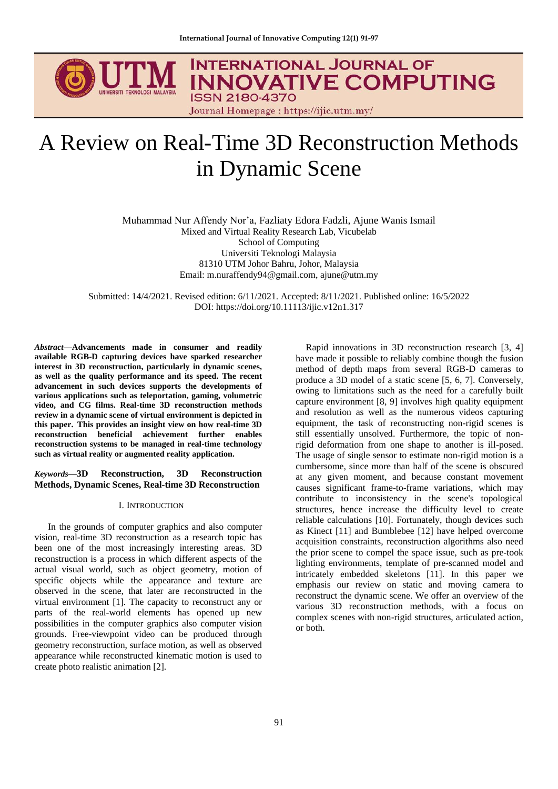

# **INTERNATIONAL JOURNAL OF INNOVATIVE COMPUTING ISSN 2180-4370**

Journal Homepage: https://ijic.utm.my/

# A Review on Real-Time 3D Reconstruction Methods in Dynamic Scene

Muhammad Nur Affendy Nor'a, Fazliaty Edora Fadzli, Ajune Wanis Ismail Mixed and Virtual Reality Research Lab, Vicubelab School of Computing Universiti Teknologi Malaysia 81310 UTM Johor Bahru, Johor, Malaysia Email: m.nuraffendy94@gmail.com, ajune@utm.my

Submitted: 14/4/2021. Revised edition: 6/11/2021. Accepted: 8/11/2021. Published online: 16/5/2022 DOI: https://doi.org/10.11113/ijic.v12n1.317

*Abstract***—Advancements made in consumer and readily available RGB-D capturing devices have sparked researcher interest in 3D reconstruction, particularly in dynamic scenes, as well as the quality performance and its speed. The recent advancement in such devices supports the developments of various applications such as teleportation, gaming, volumetric video, and CG films. Real-time 3D reconstruction methods review in a dynamic scene of virtual environment is depicted in this paper. This provides an insight view on how real-time 3D reconstruction beneficial achievement further enables reconstruction systems to be managed in real-time technology such as virtual reality or augmented reality application.**

# *Keywords***—3D Reconstruction, 3D Reconstruction Methods, Dynamic Scenes, Real-time 3D Reconstruction**

#### I. INTRODUCTION

In the grounds of computer graphics and also computer vision, real-time 3D reconstruction as a research topic has been one of the most increasingly interesting areas. 3D reconstruction is a process in which different aspects of the actual visual world, such as object geometry, motion of specific objects while the appearance and texture are observed in the scene, that later are reconstructed in the virtual environment [1]. The capacity to reconstruct any or parts of the real-world elements has opened up new possibilities in the computer graphics also computer vision grounds. Free-viewpoint video can be produced through geometry reconstruction, surface motion, as well as observed appearance while reconstructed kinematic motion is used to create photo realistic animation [2].

Rapid innovations in 3D reconstruction research [3, 4] have made it possible to reliably combine though the fusion method of depth maps from several RGB-D cameras to produce a 3D model of a static scene [5, 6, 7]. Conversely, owing to limitations such as the need for a carefully built capture environment [8, 9] involves high quality equipment and resolution as well as the numerous videos capturing equipment, the task of reconstructing non-rigid scenes is still essentially unsolved. Furthermore, the topic of nonrigid deformation from one shape to another is ill-posed. The usage of single sensor to estimate non-rigid motion is a cumbersome, since more than half of the scene is obscured at any given moment, and because constant movement causes significant frame-to-frame variations, which may contribute to inconsistency in the scene's topological structures, hence increase the difficulty level to create reliable calculations [10]. Fortunately, though devices such as Kinect [11] and Bumblebee [12] have helped overcome acquisition constraints, reconstruction algorithms also need the prior scene to compel the space issue, such as pre-took lighting environments, template of pre-scanned model and intricately embedded skeletons [11]. In this paper we emphasis our review on static and moving camera to reconstruct the dynamic scene. We offer an overview of the various 3D reconstruction methods, with a focus on complex scenes with non-rigid structures, articulated action, or both.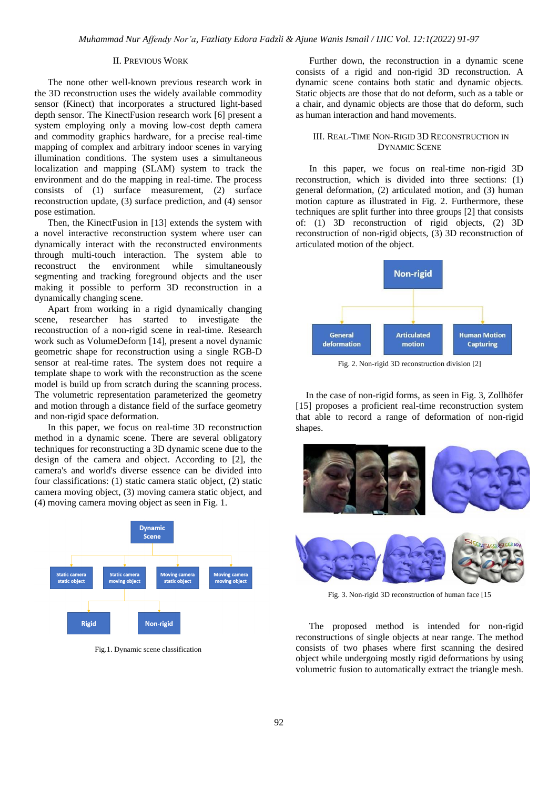# II. PREVIOUS WORK

The none other well-known previous research work in the 3D reconstruction uses the widely available commodity sensor (Kinect) that incorporates a structured light-based depth sensor. The KinectFusion research work [6] present a system employing only a moving low-cost depth camera and commodity graphics hardware, for a precise real-time mapping of complex and arbitrary indoor scenes in varying illumination conditions. The system uses a simultaneous localization and mapping (SLAM) system to track the environment and do the mapping in real-time. The process consists of (1) surface measurement, (2) surface reconstruction update, (3) surface prediction, and (4) sensor pose estimation.

Then, the KinectFusion in [13] extends the system with a novel interactive reconstruction system where user can dynamically interact with the reconstructed environments through multi-touch interaction. The system able to reconstruct the environment while simultaneously segmenting and tracking foreground objects and the user making it possible to perform 3D reconstruction in a dynamically changing scene.

Apart from working in a rigid dynamically changing scene, researcher has started to investigate the reconstruction of a non-rigid scene in real-time. Research work such as VolumeDeform [14], present a novel dynamic geometric shape for reconstruction using a single RGB-D sensor at real-time rates. The system does not require a template shape to work with the reconstruction as the scene model is build up from scratch during the scanning process. The volumetric representation parameterized the geometry and motion through a distance field of the surface geometry and non-rigid space deformation.

In this paper, we focus on real-time 3D reconstruction method in a dynamic scene. There are several obligatory techniques for reconstructing a 3D dynamic scene due to the design of the camera and object. According to [2], the camera's and world's diverse essence can be divided into four classifications: (1) static camera static object, (2) static camera moving object, (3) moving camera static object, and (4) moving camera moving object as seen in Fig. 1.



Fig.1. Dynamic scene classification

Further down, the reconstruction in a dynamic scene consists of a rigid and non-rigid 3D reconstruction. A dynamic scene contains both static and dynamic objects. Static objects are those that do not deform, such as a table or a chair, and dynamic objects are those that do deform, such as human interaction and hand movements.

### III. REAL-TIME NON-RIGID 3D RECONSTRUCTION IN DYNAMIC SCENE

In this paper, we focus on real-time non-rigid 3D reconstruction, which is divided into three sections: (1) general deformation, (2) articulated motion, and (3) human motion capture as illustrated in Fig. 2. Furthermore, these techniques are split further into three groups [2] that consists of: (1) 3D reconstruction of rigid objects, (2) 3D reconstruction of non-rigid objects, (3) 3D reconstruction of articulated motion of the object.



Fig. 2. Non-rigid 3D reconstruction division [2]

In the case of non-rigid forms, as seen in Fig. 3, Zollhöfer [15] proposes a proficient real-time reconstruction system that able to record a range of deformation of non-rigid shapes.



Fig. 3. Non-rigid 3D reconstruction of human face [15

The proposed method is intended for non-rigid reconstructions of single objects at near range. The method consists of two phases where first scanning the desired object while undergoing mostly rigid deformations by using volumetric fusion to automatically extract the triangle mesh.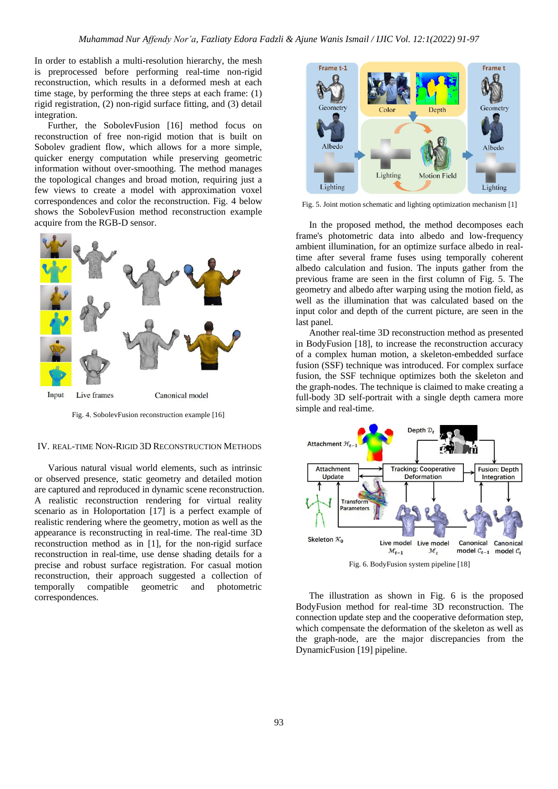In order to establish a multi-resolution hierarchy, the mesh is preprocessed before performing real-time non-rigid reconstruction, which results in a deformed mesh at each time stage, by performing the three steps at each frame: (1) rigid registration, (2) non-rigid surface fitting, and (3) detail integration.

Further, the SobolevFusion [16] method focus on reconstruction of free non-rigid motion that is built on Sobolev gradient flow, which allows for a more simple, quicker energy computation while preserving geometric information without over-smoothing. The method manages the topological changes and broad motion, requiring just a few views to create a model with approximation voxel correspondences and color the reconstruction. Fig. 4 below shows the SobolevFusion method reconstruction example acquire from the RGB-D sensor.



Fig. 4. SobolevFusion reconstruction example [16]

#### IV. REAL-TIME NON-RIGID 3D RECONSTRUCTION METHODS

Various natural visual world elements, such as intrinsic or observed presence, static geometry and detailed motion are captured and reproduced in dynamic scene reconstruction. A realistic reconstruction rendering for virtual reality scenario as in Holoportation [17] is a perfect example of realistic rendering where the geometry, motion as well as the appearance is reconstructing in real-time. The real-time 3D reconstruction method as in [1], for the non-rigid surface reconstruction in real-time, use dense shading details for a precise and robust surface registration. For casual motion reconstruction, their approach suggested a collection of temporally compatible geometric and photometric correspondences.



Fig. 5. Joint motion schematic and lighting optimization mechanism [1]

In the proposed method, the method decomposes each frame's photometric data into albedo and low-frequency ambient illumination, for an optimize surface albedo in realtime after several frame fuses using temporally coherent albedo calculation and fusion. The inputs gather from the previous frame are seen in the first column of Fig. 5. The geometry and albedo after warping using the motion field, as well as the illumination that was calculated based on the input color and depth of the current picture, are seen in the last panel.

Another real-time 3D reconstruction method as presented in BodyFusion [18], to increase the reconstruction accuracy of a complex human motion, a skeleton-embedded surface fusion (SSF) technique was introduced. For complex surface fusion, the SSF technique optimizes both the skeleton and the graph-nodes. The technique is claimed to make creating a full-body 3D self-portrait with a single depth camera more simple and real-time.



Fig. 6. BodyFusion system pipeline [18]

The illustration as shown in Fig. 6 is the proposed BodyFusion method for real-time 3D reconstruction. The connection update step and the cooperative deformation step, which compensate the deformation of the skeleton as well as the graph-node, are the major discrepancies from the DynamicFusion [19] pipeline.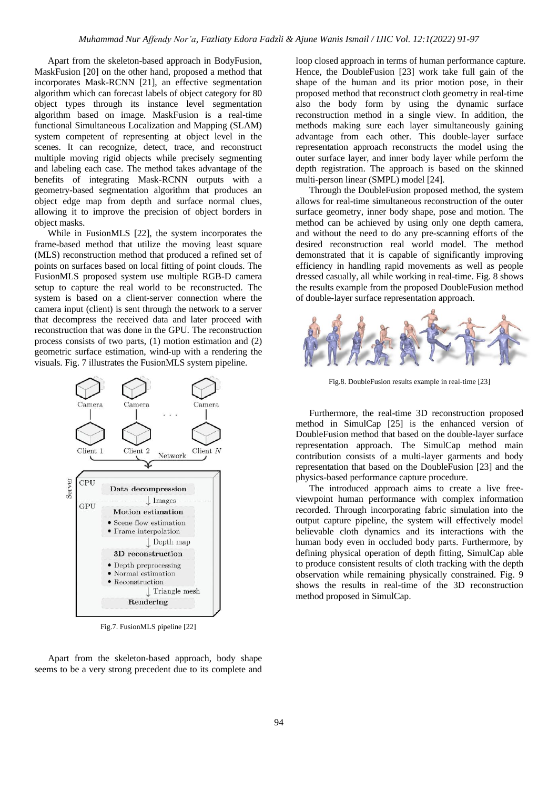Apart from the skeleton-based approach in BodyFusion, MaskFusion [20] on the other hand, proposed a method that incorporates Mask-RCNN [21], an effective segmentation algorithm which can forecast labels of object category for 80 object types through its instance level segmentation algorithm based on image. MaskFusion is a real-time functional Simultaneous Localization and Mapping (SLAM) system competent of representing at object level in the scenes. It can recognize, detect, trace, and reconstruct multiple moving rigid objects while precisely segmenting and labeling each case. The method takes advantage of the benefits of integrating Mask-RCNN outputs with a geometry-based segmentation algorithm that produces an object edge map from depth and surface normal clues, allowing it to improve the precision of object borders in object masks.

While in FusionMLS [22], the system incorporates the frame-based method that utilize the moving least square (MLS) reconstruction method that produced a refined set of points on surfaces based on local fitting of point clouds. The FusionMLS proposed system use multiple RGB-D camera setup to capture the real world to be reconstructed. The system is based on a client-server connection where the camera input (client) is sent through the network to a server that decompress the received data and later proceed with reconstruction that was done in the GPU. The reconstruction process consists of two parts, (1) motion estimation and (2) geometric surface estimation, wind-up with a rendering the visuals. Fig. 7 illustrates the FusionMLS system pipeline.



Fig.7. FusionMLS pipeline [22]

Apart from the skeleton-based approach, body shape seems to be a very strong precedent due to its complete and loop closed approach in terms of human performance capture. Hence, the DoubleFusion [23] work take full gain of the shape of the human and its prior motion pose, in their proposed method that reconstruct cloth geometry in real-time also the body form by using the dynamic surface reconstruction method in a single view. In addition, the methods making sure each layer simultaneously gaining advantage from each other. This double-layer surface representation approach reconstructs the model using the outer surface layer, and inner body layer while perform the depth registration. The approach is based on the skinned multi-person linear (SMPL) model [24].

Through the DoubleFusion proposed method, the system allows for real-time simultaneous reconstruction of the outer surface geometry, inner body shape, pose and motion. The method can be achieved by using only one depth camera, and without the need to do any pre-scanning efforts of the desired reconstruction real world model. The method demonstrated that it is capable of significantly improving efficiency in handling rapid movements as well as people dressed casually, all while working in real-time. Fig. 8 shows the results example from the proposed DoubleFusion method of double-layer surface representation approach.



Fig.8. DoubleFusion results example in real-time [23]

Furthermore, the real-time 3D reconstruction proposed method in SimulCap [25] is the enhanced version of DoubleFusion method that based on the double-layer surface representation approach. The SimulCap method main contribution consists of a multi-layer garments and body representation that based on the DoubleFusion [23] and the physics-based performance capture procedure.

The introduced approach aims to create a live freeviewpoint human performance with complex information recorded. Through incorporating fabric simulation into the output capture pipeline, the system will effectively model believable cloth dynamics and its interactions with the human body even in occluded body parts. Furthermore, by defining physical operation of depth fitting, SimulCap able to produce consistent results of cloth tracking with the depth observation while remaining physically constrained. Fig. 9 shows the results in real-time of the 3D reconstruction method proposed in SimulCap.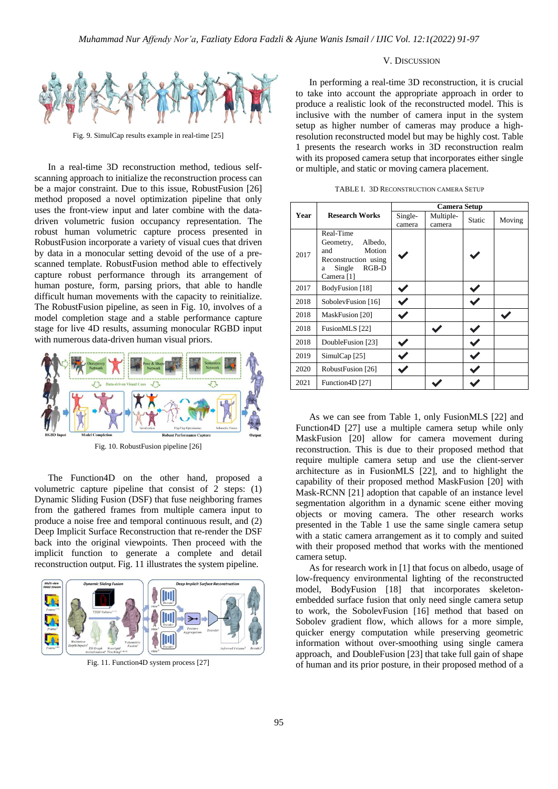

Fig. 9. SimulCap results example in real-time [25]

In a real-time 3D reconstruction method, tedious selfscanning approach to initialize the reconstruction process can be a major constraint. Due to this issue, RobustFusion [26] method proposed a novel optimization pipeline that only uses the front-view input and later combine with the datadriven volumetric fusion occupancy representation. The robust human volumetric capture process presented in RobustFusion incorporate a variety of visual cues that driven by data in a monocular setting devoid of the use of a prescanned template. RobustFusion method able to effectively capture robust performance through its arrangement of human posture, form, parsing priors, that able to handle difficult human movements with the capacity to reinitialize. The RobustFusion pipeline, as seen in Fig. 10, involves of a model completion stage and a stable performance capture stage for live 4D results, assuming monocular RGBD input with numerous data-driven human visual priors.



Fig. 10. RobustFusion pipeline [26]

The Function4D on the other hand, proposed a volumetric capture pipeline that consist of 2 steps: (1) Dynamic Sliding Fusion (DSF) that fuse neighboring frames from the gathered frames from multiple camera input to produce a noise free and temporal continuous result, and (2) Deep Implicit Surface Reconstruction that re-render the DSF back into the original viewpoints. Then proceed with the implicit function to generate a complete and detail reconstruction output. Fig. 11 illustrates the system pipeline.



Fig. 11. Function4D system process [27]

#### V. DISCUSSION

In performing a real-time 3D reconstruction, it is crucial to take into account the appropriate approach in order to produce a realistic look of the reconstructed model. This is inclusive with the number of camera input in the system setup as higher number of cameras may produce a highresolution reconstructed model but may be highly cost. Table 1 presents the research works in 3D reconstruction realm with its proposed camera setup that incorporates either single or multiple, and static or moving camera placement.

|      | <b>Research Works</b>                                                                                              | <b>Camera Setup</b> |                     |               |        |
|------|--------------------------------------------------------------------------------------------------------------------|---------------------|---------------------|---------------|--------|
| Year |                                                                                                                    | Single-<br>camera   | Multiple-<br>camera | <b>Static</b> | Moving |
| 2017 | Real-Time<br>Albedo,<br>Geometry,<br>Motion<br>and<br>Reconstruction using<br>$RGB-D$<br>Single<br>a<br>Camera [1] |                     |                     |               |        |
| 2017 | BodyFusion [18]                                                                                                    |                     |                     |               |        |
| 2018 | SobolevFusion [16]                                                                                                 |                     |                     |               |        |
| 2018 | MaskFusion [20]                                                                                                    |                     |                     |               |        |
| 2018 | FusionMLS [22]                                                                                                     |                     |                     |               |        |
| 2018 | DoubleFusion [23]                                                                                                  |                     |                     |               |        |
| 2019 | SimulCap [25]                                                                                                      |                     |                     |               |        |
| 2020 | RobustFusion [26]                                                                                                  |                     |                     |               |        |
| 2021 | Function <sub>4D</sub> [27]                                                                                        |                     |                     |               |        |

TABLE I. 3D RECONSTRUCTION CAMERA SETUP

As we can see from Table 1, only FusionMLS [22] and Function4D [27] use a multiple camera setup while only MaskFusion [20] allow for camera movement during reconstruction. This is due to their proposed method that require multiple camera setup and use the client-server architecture as in FusionMLS [22], and to highlight the capability of their proposed method MaskFusion [20] with Mask-RCNN [21] adoption that capable of an instance level segmentation algorithm in a dynamic scene either moving objects or moving camera. The other research works presented in the Table 1 use the same single camera setup with a static camera arrangement as it to comply and suited with their proposed method that works with the mentioned camera setup.

As for research work in [1] that focus on albedo, usage of low-frequency environmental lighting of the reconstructed model, BodyFusion [18] that incorporates skeletonembedded surface fusion that only need single camera setup to work, the SobolevFusion [16] method that based on Sobolev gradient flow, which allows for a more simple, quicker energy computation while preserving geometric information without over-smoothing using single camera approach, and DoubleFusion [23] that take full gain of shape of human and its prior posture, in their proposed method of a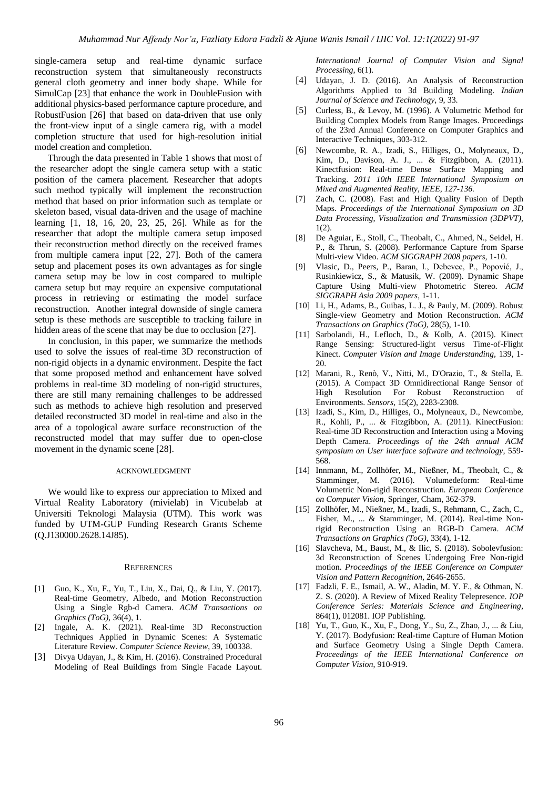single-camera setup and real-time dynamic surface reconstruction system that simultaneously reconstructs general cloth geometry and inner body shape. While for SimulCap [23] that enhance the work in DoubleFusion with additional physics-based performance capture procedure, and RobustFusion [26] that based on data-driven that use only the front-view input of a single camera rig, with a model completion structure that used for high-resolution initial model creation and completion.

Through the data presented in Table 1 shows that most of the researcher adopt the single camera setup with a static position of the camera placement. Researcher that adopts such method typically will implement the reconstruction method that based on prior information such as template or skeleton based, visual data-driven and the usage of machine learning [1, 18, 16, 20, 23, 25, 26]. While as for the researcher that adopt the multiple camera setup imposed their reconstruction method directly on the received frames from multiple camera input [22, 27]. Both of the camera setup and placement poses its own advantages as for single camera setup may be low in cost compared to multiple camera setup but may require an expensive computational process in retrieving or estimating the model surface reconstruction. Another integral downside of single camera setup is these methods are susceptible to tracking failure in hidden areas of the scene that may be due to occlusion [27].

In conclusion, in this paper, we summarize the methods used to solve the issues of real-time 3D reconstruction of non-rigid objects in a dynamic environment. Despite the fact that some proposed method and enhancement have solved problems in real-time 3D modeling of non-rigid structures, there are still many remaining challenges to be addressed such as methods to achieve high resolution and preserved detailed reconstructed 3D model in real-time and also in the area of a topological aware surface reconstruction of the reconstructed model that may suffer due to open-close movement in the dynamic scene [28].

#### ACKNOWLEDGMENT

We would like to express our appreciation to Mixed and Virtual Reality Laboratory (mivielab) in Vicubelab at Universiti Teknologi Malaysia (UTM). This work was funded by UTM-GUP Funding Research Grants Scheme (Q.J130000.2628.14J85).

#### **REFERENCES**

- [1] Guo, K., Xu, F., Yu, T., Liu, X., Dai, Q., & Liu, Y. (2017). Real-time Geometry, Albedo, and Motion Reconstruction Using a Single Rgb-d Camera. *ACM Transactions on Graphics (ToG),* 36(4), 1.
- [2] Ingale, A. K. (2021). Real-time 3D Reconstruction Techniques Applied in Dynamic Scenes: A Systematic Literature Review. *Computer Science Review*, 39, 100338.
- [3] Divya Udayan, J., & Kim, H. (2016). Constrained Procedural Modeling of Real Buildings from Single Facade Layout.

*International Journal of Computer Vision and Signal Processing,* 6(1).

- [4] Udayan, J. D. (2016). An Analysis of Reconstruction Algorithms Applied to 3d Building Modeling. *Indian Journal of Science and Technology,* 9, 33.
- [5] Curless, B., & Levoy, M. (1996). A Volumetric Method for Building Complex Models from Range Images. Proceedings of the 23rd Annual Conference on Computer Graphics and Interactive Techniques, 303-312.
- [6] Newcombe, R. A., Izadi, S., Hilliges, O., Molyneaux, D., Kim, D., Davison, A. J., ... & Fitzgibbon, A. (2011). Kinectfusion: Real-time Dense Surface Mapping and Tracking. *2011 10th IEEE International Symposium on Mixed and Augmented Reality, IEEE, 127-136.*
- [7] Zach, C. (2008). Fast and High Quality Fusion of Depth Maps. *Proceedings of the International Symposium on 3D Data Processing, Visualization and Transmission (3DPVT),*  1(2).
- [8] De Aguiar, E., Stoll, C., Theobalt, C., Ahmed, N., Seidel, H. P., & Thrun, S. (2008). Performance Capture from Sparse Multi-view Video. *ACM SIGGRAPH 2008 papers*, 1-10.
- [9] Vlasic, D., Peers, P., Baran, I., Debevec, P., Popović, J., Rusinkiewicz, S., & Matusik, W. (2009). Dynamic Shape Capture Using Multi-view Photometric Stereo*. ACM SIGGRAPH Asia 2009 papers*, 1-11.
- [10] Li, H., Adams, B., Guibas, L. J., & Pauly, M. (2009). Robust Single-view Geometry and Motion Reconstruction. *ACM Transactions on Graphics (ToG),* 28(5), 1-10.
- [11] Sarbolandi, H., Lefloch, D., & Kolb, A. (2015). Kinect Range Sensing: Structured-light versus Time-of-Flight Kinect. *Computer Vision and Image Understanding,* 139, 1- 20.
- [12] Marani, R., Renò, V., Nitti, M., D'Orazio, T., & Stella, E. (2015). A Compact 3D Omnidirectional Range Sensor of High Resolution For Robust Reconstruction of Environments. *Sensors,* 15(2), 2283-2308.
- [13] Izadi, S., Kim, D., Hilliges, O., Molyneaux, D., Newcombe, R., Kohli, P., ... & Fitzgibbon, A. (2011). KinectFusion: Real-time 3D Reconstruction and Interaction using a Moving Depth Camera. *Proceedings of the 24th annual ACM symposium on User interface software and technology*, 559- 568.
- [14] Innmann, M., Zollhöfer, M., Nießner, M., Theobalt, C., & Stamminger, M. (2016). Volumedeform: Real-time Volumetric Non-rigid Reconstruction. *European Conference on Computer Vision*, Springer, Cham, 362-379.
- [15] Zollhöfer, M., Nießner, M., Izadi, S., Rehmann, C., Zach, C., Fisher, M., ... & Stamminger, M. (2014). Real-time Nonrigid Reconstruction Using an RGB-D Camera. *ACM Transactions on Graphics (ToG)*, 33(4), 1-12.
- [16] Slavcheva, M., Baust, M., & Ilic, S. (2018). Sobolevfusion: 3d Reconstruction of Scenes Undergoing Free Non-rigid motion. *Proceedings of the IEEE Conference on Computer Vision and Pattern Recognition*, 2646-2655.
- [17] Fadzli, F. E., Ismail, A. W., Aladin, M. Y. F., & Othman, N. Z. S. (2020). A Review of Mixed Reality Telepresence. *IOP Conference Series: Materials Science and Engineering*, 864(1), 012081. IOP Publishing.
- [18] Yu, T., Guo, K., Xu, F., Dong, Y., Su, Z., Zhao, J., ... & Liu, Y. (2017). Bodyfusion: Real-time Capture of Human Motion and Surface Geometry Using a Single Depth Camera. *Proceedings of the IEEE International Conference on Computer Vision*, 910-919.